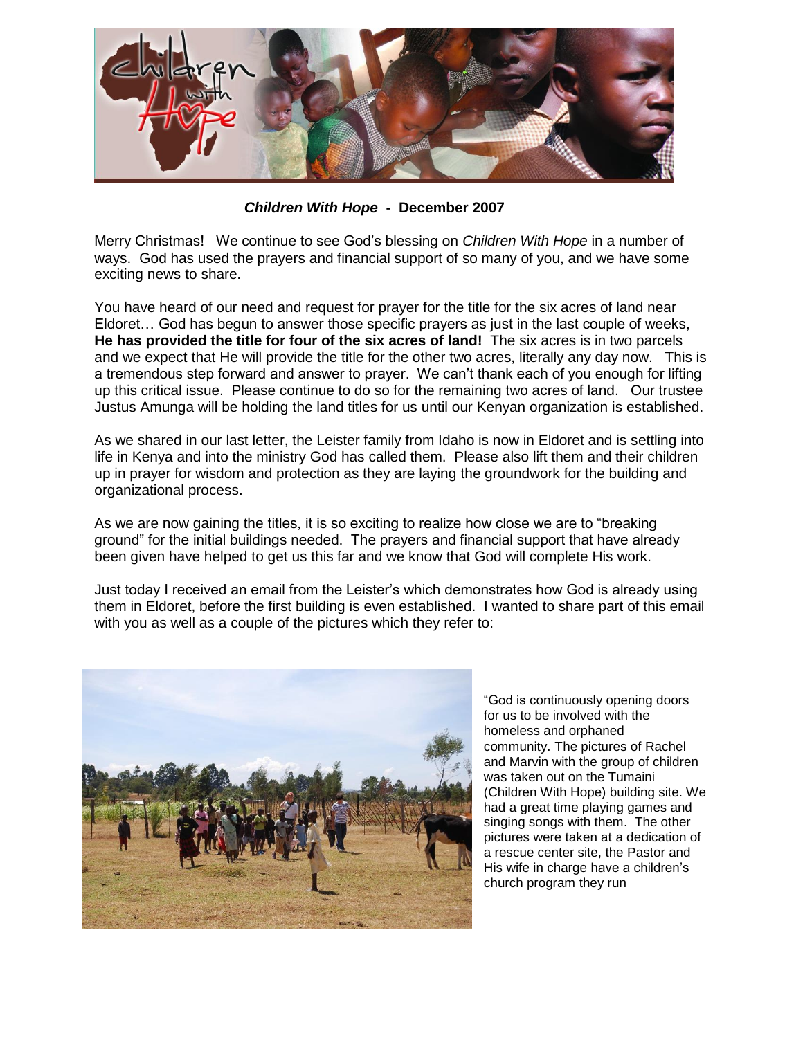

*Children With Hope* **- December 2007**

Merry Christmas! We continue to see God's blessing on *Children With Hope* in a number of ways. God has used the prayers and financial support of so many of you, and we have some exciting news to share.

You have heard of our need and request for prayer for the title for the six acres of land near Eldoret… God has begun to answer those specific prayers as just in the last couple of weeks, **He has provided the title for four of the six acres of land!** The six acres is in two parcels and we expect that He will provide the title for the other two acres, literally any day now. This is a tremendous step forward and answer to prayer. We can't thank each of you enough for lifting up this critical issue. Please continue to do so for the remaining two acres of land. Our trustee Justus Amunga will be holding the land titles for us until our Kenyan organization is established.

As we shared in our last letter, the Leister family from Idaho is now in Eldoret and is settling into life in Kenya and into the ministry God has called them. Please also lift them and their children up in prayer for wisdom and protection as they are laying the groundwork for the building and organizational process.

As we are now gaining the titles, it is so exciting to realize how close we are to "breaking ground" for the initial buildings needed. The prayers and financial support that have already been given have helped to get us this far and we know that God will complete His work.

Just today I received an email from the Leister's which demonstrates how God is already using them in Eldoret, before the first building is even established. I wanted to share part of this email with you as well as a couple of the pictures which they refer to:



"God is continuously opening doors for us to be involved with the homeless and orphaned community. The pictures of Rachel and Marvin with the group of children was taken out on the Tumaini (Children With Hope) building site. We had a great time playing games and singing songs with them. The other pictures were taken at a dedication of a rescue center site, the Pastor and His wife in charge have a children's church program they run